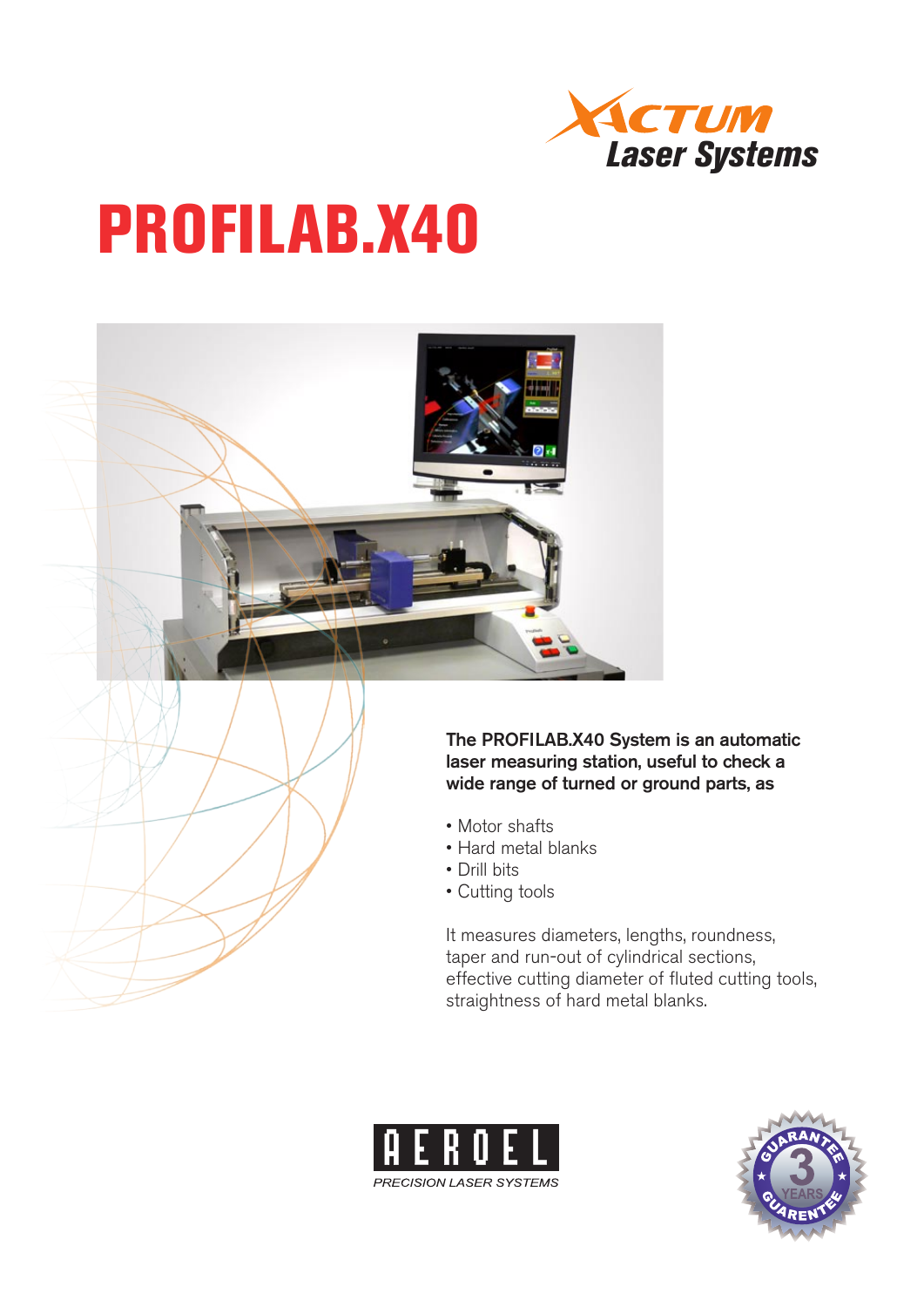

## PROFILAB.X40



The PROFILAB.X40 System is an automatic laser measuring station, useful to check a wide range of turned or ground parts, as

- Motor shafts
- Hard metal blanks
- Drill bits
- Cutting tools

It measures diameters, lengths, roundness, taper and run-out of cylindrical sections, effective cutting diameter of fluted cutting tools, straightness of hard metal blanks.